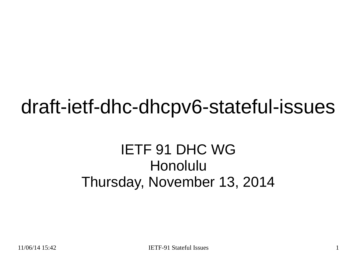#### draft-ietf-dhc-dhcpv6-stateful-issues

#### IETF 91 DHC WG Honolulu Thursday, November 13, 2014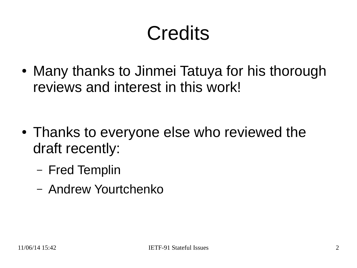# **Credits**

• Many thanks to Jinmei Tatuya for his thorough reviews and interest in this work!

- Thanks to everyone else who reviewed the draft recently:
	- Fred Templin
	- Andrew Yourtchenko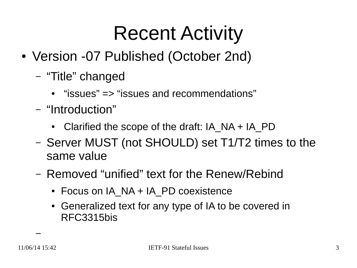- Version -07 Published (October 2nd)
	- "Title" changed
		- $\bullet$  "issues" => "issues and recommendations"
	- "Introduction"
		- Clarified the scope of the draft:  $IA$  NA + IA PD
	- Server MUST (not SHOULD) set T1/T2 times to the same value
	- Removed "unified" text for the Renew/Rebind
		- Focus on IA\_NA + IA\_PD coexistence
		- Generalized text for any type of IA to be covered in RFC3315bis

–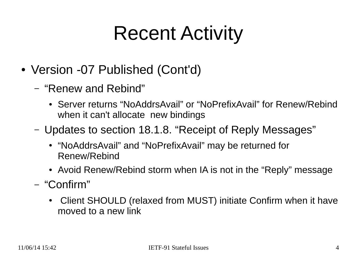- Version -07 Published (Cont'd)
	- "Renew and Rebind"
		- Server returns "NoAddrsAvail" or "NoPrefixAvail" for Renew/Rebind when it can't allocate new bindings
	- Updates to section 18.1.8. "Receipt of Reply Messages"
		- "NoAddrsAvail" and "NoPrefixAvail" may be returned for Renew/Rebind
		- Avoid Renew/Rebind storm when IA is not in the "Reply" message
	- "Confirm"
		- Client SHOULD (relaxed from MUST) initiate Confirm when it have moved to a new link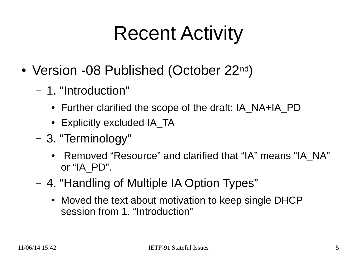- Version -08 Published (October 22nd)
	- 1. "Introduction"
		- Further clarified the scope of the draft: IA\_NA+IA\_PD
		- Explicitly excluded IA\_TA
	- 3. "Terminology"
		- Removed "Resource" and clarified that "IA" means "IA\_NA" or "IA\_PD".
	- 4. "Handling of Multiple IA Option Types"
		- Moved the text about motivation to keep single DHCP session from 1. "Introduction"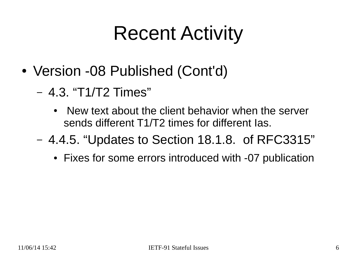- Version -08 Published (Cont'd)
	- 4.3. "T1/T2 Times"
		- New text about the client behavior when the server sends different T1/T2 times for different Ias.
	- 4.4.5. "Updates to Section 18.1.8. of RFC3315"
		- Fixes for some errors introduced with -07 publication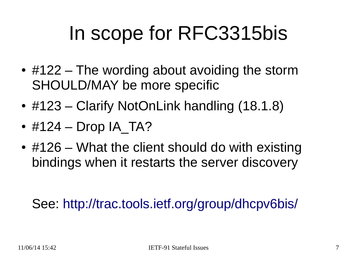#### In scope for RFC3315bis

- $\cdot$  #122 The wording about avoiding the storm SHOULD/MAY be more specific
- $\bullet$  #123 Clarify NotOnLink handling (18.1.8)
- $\cdot$  #124 Drop IA TA?
- $\cdot$  #126 What the client should do with existing bindings when it restarts the server discovery

See: <http://trac.tools.ietf.org/group/dhcpv6bis/>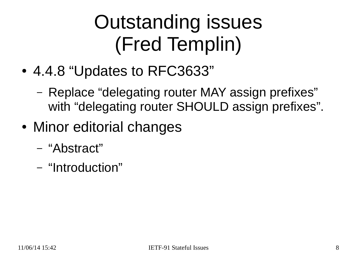# Outstanding issues (Fred Templin)

- 4.4.8 "Updates to RFC3633"
	- Replace "delegating router MAY assign prefixes" with "delegating router SHOULD assign prefixes".
- Minor editorial changes
	- "Abstract"
	- "Introduction"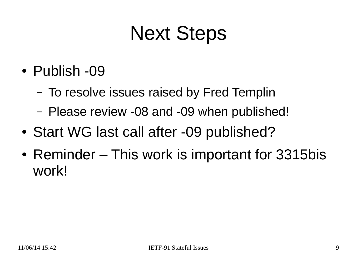#### Next Steps

- Publish -09
	- To resolve issues raised by Fred Templin
	- Please review -08 and -09 when published!
- Start WG last call after -09 published?
- Reminder This work is important for 3315bis work!